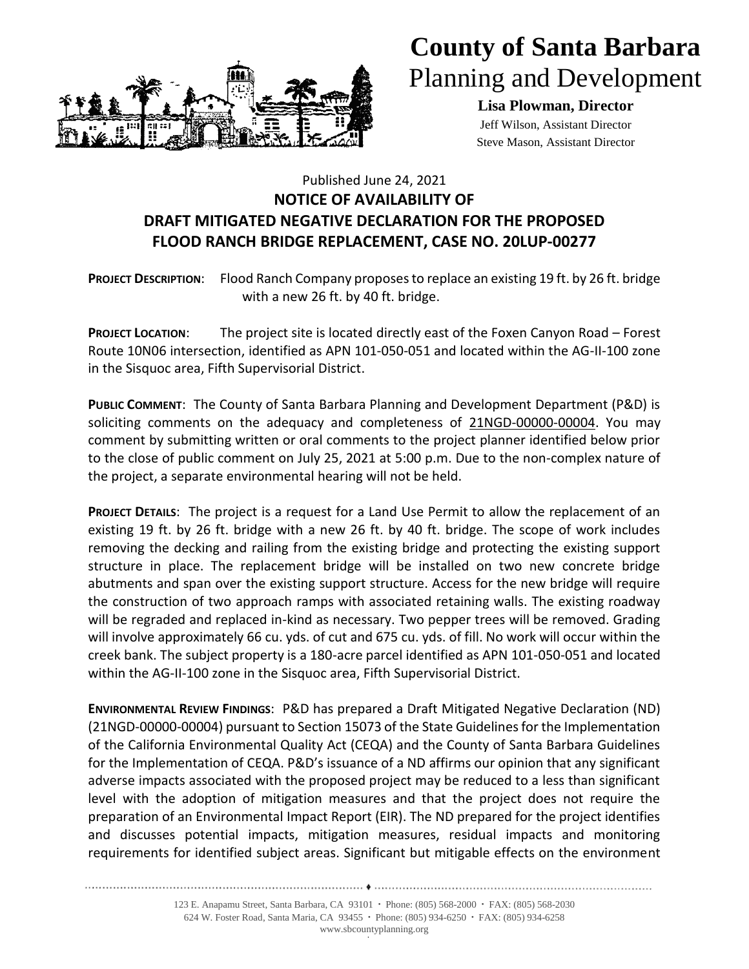

## **County of Santa Barbara** Planning and Development

**Lisa Plowman, Director** Jeff Wilson, Assistant Director Steve Mason, Assistant Director

## Published June 24, 2021 **NOTICE OF AVAILABILITY OF DRAFT MITIGATED NEGATIVE DECLARATION FOR THE PROPOSED FLOOD RANCH BRIDGE REPLACEMENT, CASE NO. 20LUP-00277**

**PROJECT DESCRIPTION**: Flood Ranch Company proposes to replace an existing 19 ft. by 26 ft. bridge with a new 26 ft. by 40 ft. bridge.

**PROJECT LOCATION**: The project site is located directly east of the Foxen Canyon Road – Forest Route 10N06 intersection, identified as APN 101-050-051 and located within the AG-II-100 zone in the Sisquoc area, Fifth Supervisorial District.

**PUBLIC COMMENT**: The County of Santa Barbara Planning and Development Department (P&D) is soliciting comments on the adequacy and completeness of 21NGD-00000-00004. You may comment by submitting written or oral comments to the project planner identified below prior to the close of public comment on July 25, 2021 at 5:00 p.m. Due to the non-complex nature of the project, a separate environmental hearing will not be held.

**PROJECT DETAILS**: The project is a request for a Land Use Permit to allow the replacement of an existing 19 ft. by 26 ft. bridge with a new 26 ft. by 40 ft. bridge. The scope of work includes removing the decking and railing from the existing bridge and protecting the existing support structure in place. The replacement bridge will be installed on two new concrete bridge abutments and span over the existing support structure. Access for the new bridge will require the construction of two approach ramps with associated retaining walls. The existing roadway will be regraded and replaced in-kind as necessary. Two pepper trees will be removed. Grading will involve approximately 66 cu. yds. of cut and 675 cu. yds. of fill. No work will occur within the creek bank. The subject property is a 180-acre parcel identified as APN 101-050-051 and located within the AG-II-100 zone in the Sisquoc area, Fifth Supervisorial District.

**ENVIRONMENTAL REVIEW FINDINGS**: P&D has prepared a Draft Mitigated Negative Declaration (ND) (21NGD-00000-00004) pursuant to Section 15073 of the State Guidelines for the Implementation of the California Environmental Quality Act (CEQA) and the County of Santa Barbara Guidelines for the Implementation of CEQA. P&D's issuance of a ND affirms our opinion that any significant adverse impacts associated with the proposed project may be reduced to a less than significant level with the adoption of mitigation measures and that the project does not require the preparation of an Environmental Impact Report (EIR). The ND prepared for the project identifies and discusses potential impacts, mitigation measures, residual impacts and monitoring requirements for identified subject areas. Significant but mitigable effects on the environment